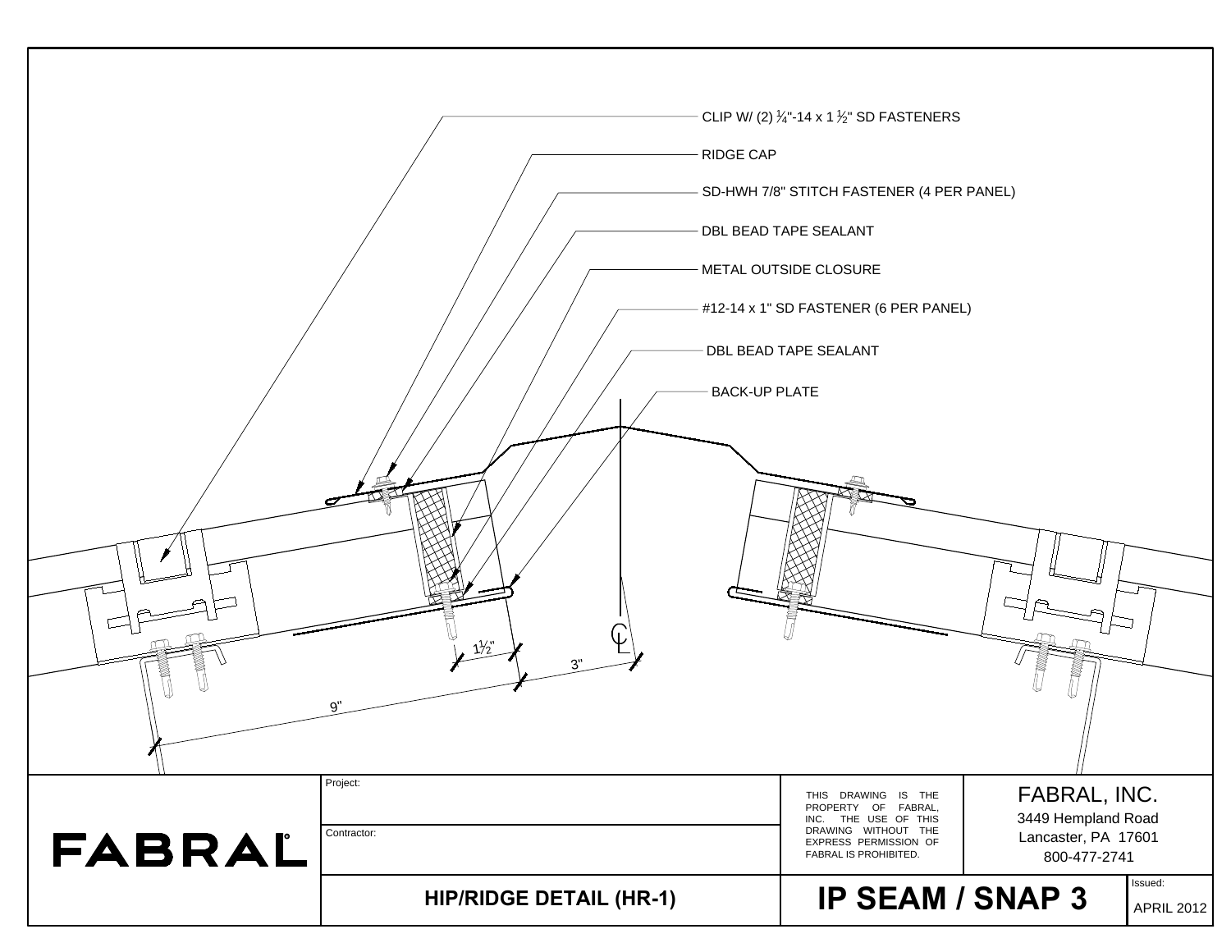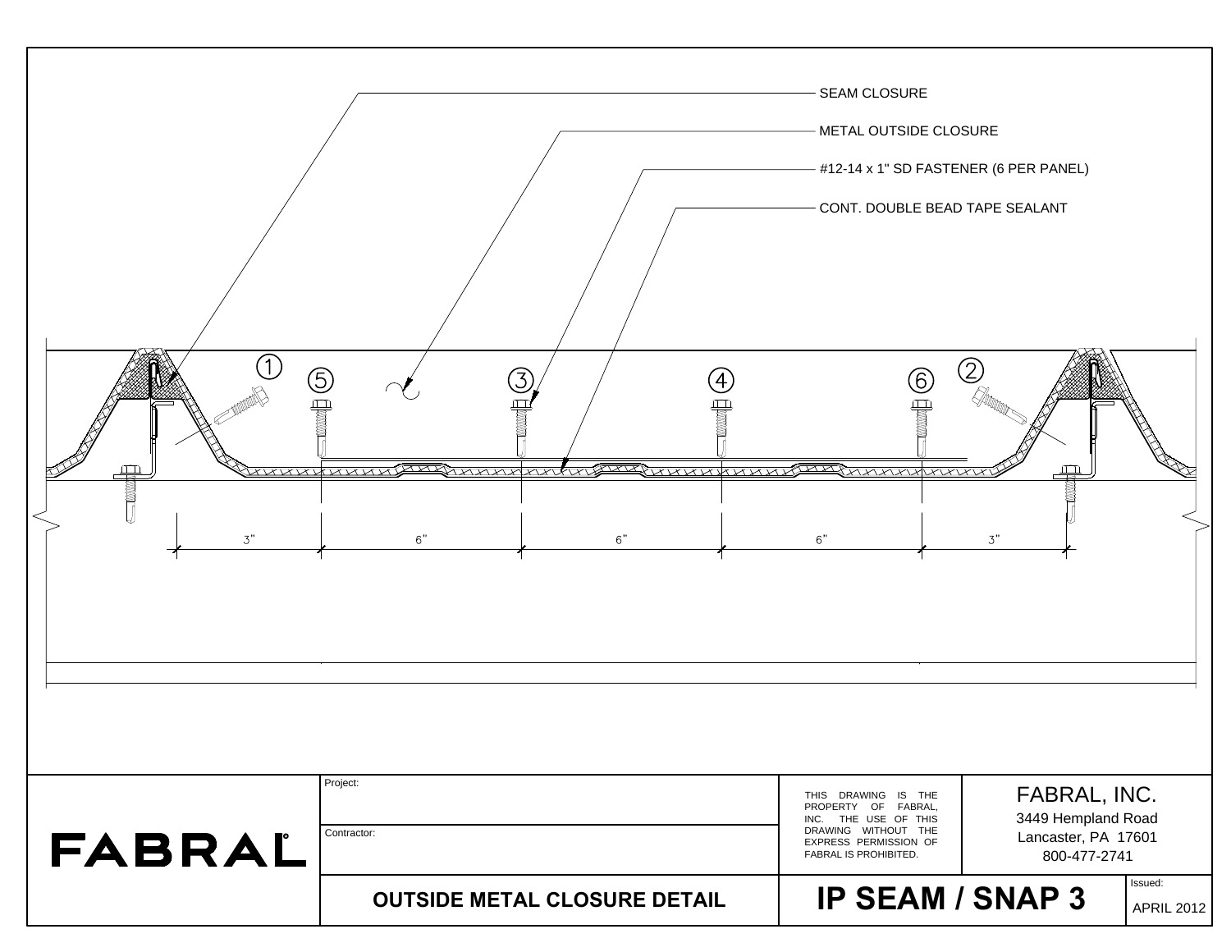| (G)<br>雪<br>オススレ<br><b>THE STATE</b><br>3" | $\left(4\right)$<br>↽ <del>∕</del><br>wwwwww<br>nnnnnv<br>$6"$<br>6" | <b>SEAM CLOSURE</b><br>METAL OUTSIDE CLOSURE<br>#12-14 x 1" SD FASTENER (6 PER PANEL)<br>CONT. DOUBLE BEAD TAPE SEALANT<br>2<br><b>6</b><br>骨<br>XX<br><i>AXVXVXVXVXV</i><br>$6\rlap{.}^{\prime\prime}$<br>3"            |                   |
|--------------------------------------------|----------------------------------------------------------------------|--------------------------------------------------------------------------------------------------------------------------------------------------------------------------------------------------------------------------|-------------------|
| FABRAL                                     | Project:<br>Contractor:                                              | FABRAL, INC.<br>THIS DRAWING IS THE<br>PROPERTY OF FABRAL,<br>3449 Hempland Road<br>INC. THE USE OF THIS<br>DRAWING WITHOUT THE<br>Lancaster, PA 17601<br>EXPRESS PERMISSION OF<br>FABRAL IS PROHIBITED.<br>800-477-2741 |                   |
|                                            | <b>OUTSIDE METAL CLOSURE DETAIL</b>                                  | Issued:<br><b>IP SEAM / SNAP 3</b>                                                                                                                                                                                       | <b>APRIL 2012</b> |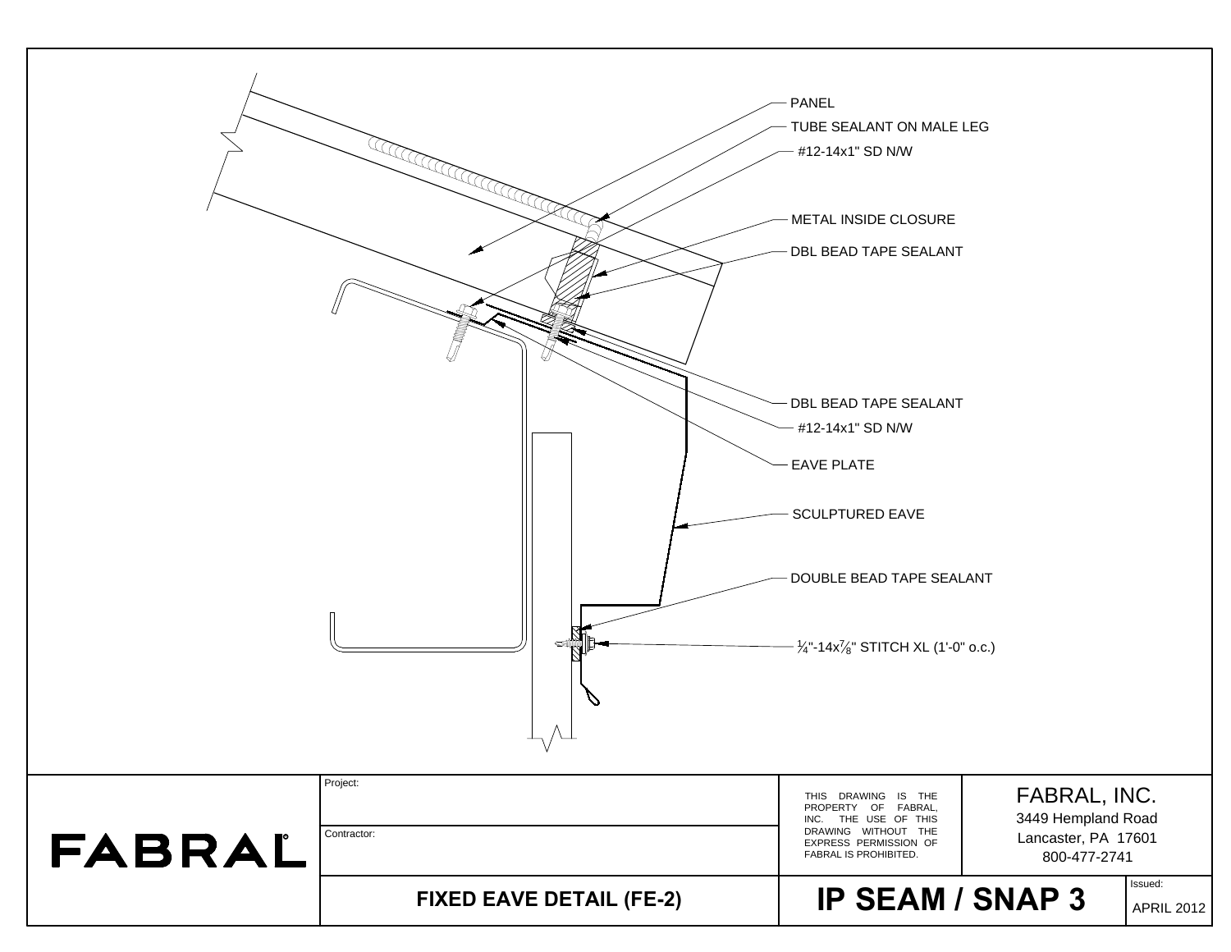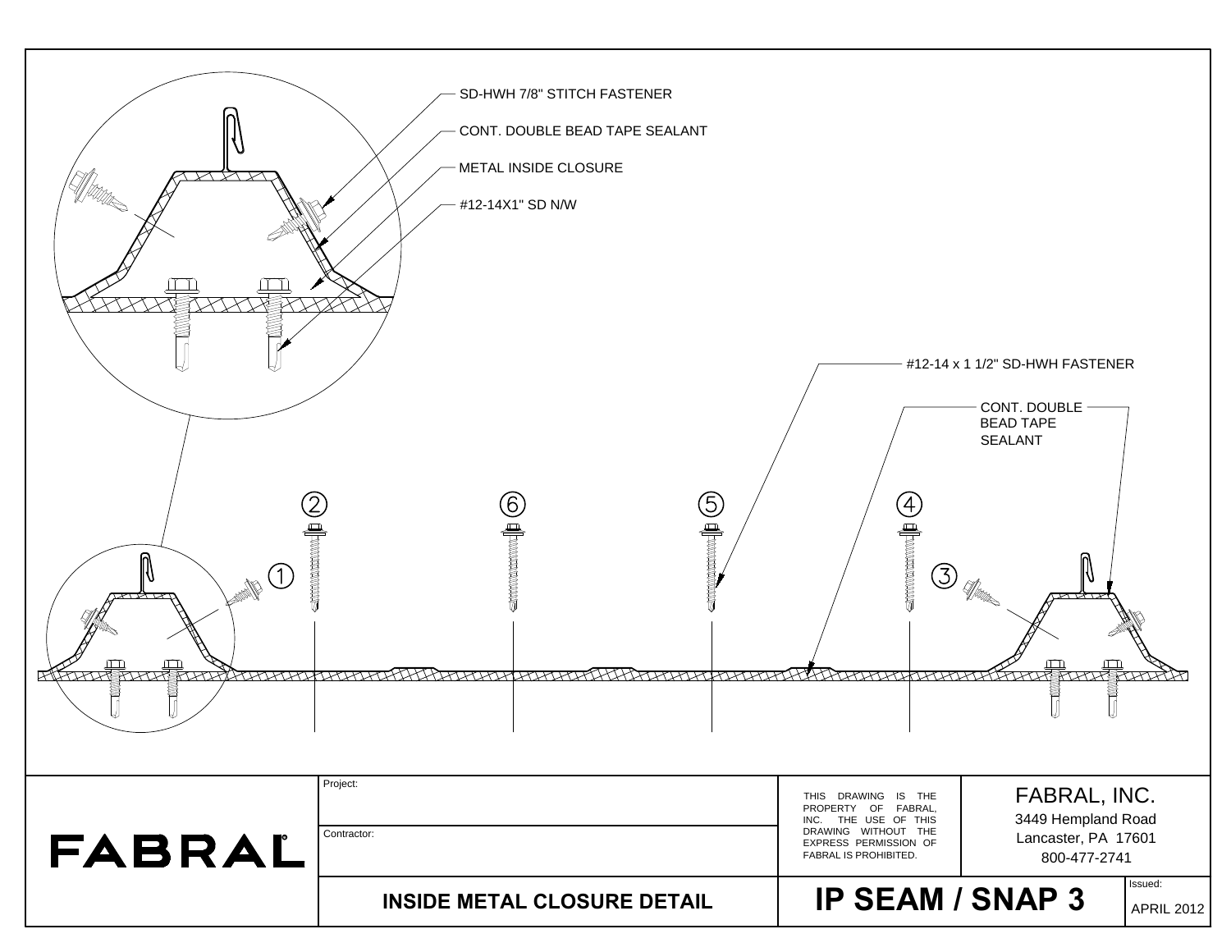| $\frac{1}{\sqrt{2}}$ | SD-HWH 7/8" STITCH FASTENER<br>CONT. DOUBLE BEAD TAPE SEALANT<br>- METAL INSIDE CLOSURE<br>- #12-14X1" SD N/W<br><b>Communication</b><br>$\begin{picture}(40,40) \put(0,0){\line(1,0){10}} \put(10,0){\line(1,0){10}} \put(10,0){\line(1,0){10}} \put(10,0){\line(1,0){10}} \put(10,0){\line(1,0){10}} \put(10,0){\line(1,0){10}} \put(10,0){\line(1,0){10}} \put(10,0){\line(1,0){10}} \put(10,0){\line(1,0){10}} \put(10,0){\line(1,0){10}} \put(10,0){\line(1,0){10}} \put(10,0){\line(1$<br><b>RIFLING TO THE STATE OF THE STATE OF THE CONFIDENTIAL CONFIDENTIAL CONFIDENTIAL CONFIDENTIAL CONFIDENTIAL CONFIDENTIAL CONFIDENTIAL CONFIDENTIAL CONFIDENTIAL CONFIDENTIAL CONFIDENTIAL CONFIDENTIAL CONFIDENTIAL CONFIDENTIA</b> | $\frac{4}{\sqrt{2}}$<br>③<br><i>HATATALKA</i>                                                                                               | #12-14 x 1 1/2" SD-HWH FASTENER<br>CONT. DOUBLE<br><b>BEAD TAPE</b><br><b>SEALANT</b><br>₩<br>: Manne<br><b>THEFTHERE BEEN</b> |
|----------------------|--------------------------------------------------------------------------------------------------------------------------------------------------------------------------------------------------------------------------------------------------------------------------------------------------------------------------------------------------------------------------------------------------------------------------------------------------------------------------------------------------------------------------------------------------------------------------------------------------------------------------------------------------------------------------------------------------------------------------------------|---------------------------------------------------------------------------------------------------------------------------------------------|--------------------------------------------------------------------------------------------------------------------------------|
| FABRAL               | Project:<br>Contractor:                                                                                                                                                                                                                                                                                                                                                                                                                                                                                                                                                                                                                                                                                                              | THIS DRAWING IS THE<br>PROPERTY OF FABRAL,<br>INC. THE USE OF THIS<br>DRAWING WITHOUT THE<br>EXPRESS PERMISSION OF<br>FABRAL IS PROHIBITED. | FABRAL, INC.<br>3449 Hempland Road<br>Lancaster, PA 17601<br>800-477-2741                                                      |
|                      | <b>INSIDE METAL CLOSURE DETAIL</b>                                                                                                                                                                                                                                                                                                                                                                                                                                                                                                                                                                                                                                                                                                   | <b>IP SEAM / SNAP 3</b>                                                                                                                     | Issued:<br><b>APRIL 2012</b>                                                                                                   |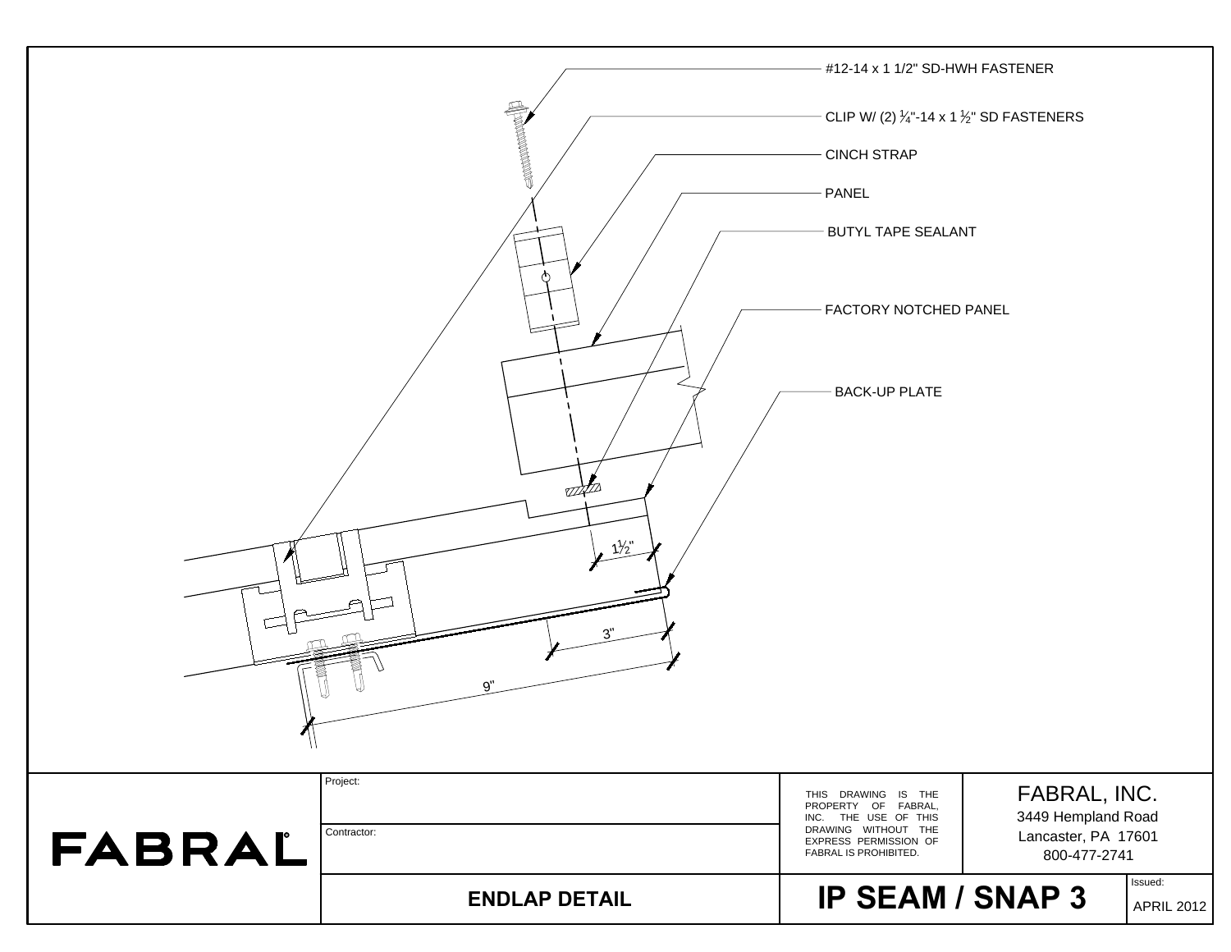|               |                      | #12-14 x 1 1/2" SD-HWH FASTENER                                      |                                           |
|---------------|----------------------|----------------------------------------------------------------------|-------------------------------------------|
|               |                      | CLIP W/ (2) $\frac{1}{4}$ -14 x 1 $\frac{1}{2}$ " SD FASTENERS       |                                           |
|               |                      | <b>CINCH STRAP</b>                                                   |                                           |
|               |                      | PANEL                                                                |                                           |
|               |                      | - BUTYL TAPE SEALANT                                                 |                                           |
|               |                      |                                                                      |                                           |
|               |                      | FACTORY NOTCHED PANEL                                                |                                           |
|               |                      |                                                                      |                                           |
|               |                      | <b>BACK-UP PLATE</b>                                                 |                                           |
|               |                      |                                                                      |                                           |
|               |                      |                                                                      |                                           |
|               | 87.LL                |                                                                      |                                           |
|               | $1\frac{1}{2}$       |                                                                      |                                           |
|               |                      |                                                                      |                                           |
|               | 3"                   |                                                                      |                                           |
|               |                      |                                                                      |                                           |
|               | 9"                   |                                                                      |                                           |
| $\mathcal{M}$ |                      |                                                                      |                                           |
|               | Project:             | THIS DRAWING IS THE<br>PROPERTY OF FABRAL,                           | FABRAL, INC.                              |
|               | Contractor:          | INC. THE USE OF THIS<br>DRAWING WITHOUT THE<br>EXPRESS PERMISSION OF | 3449 Hempland Road<br>Lancaster, PA 17601 |
| FABRAL        |                      | FABRAL IS PROHIBITED.                                                | 800-477-2741<br>Issued:                   |
|               | <b>ENDLAP DETAIL</b> | <b>IP SEAM / SNAP 3</b>                                              | <b>APRIL 2012</b>                         |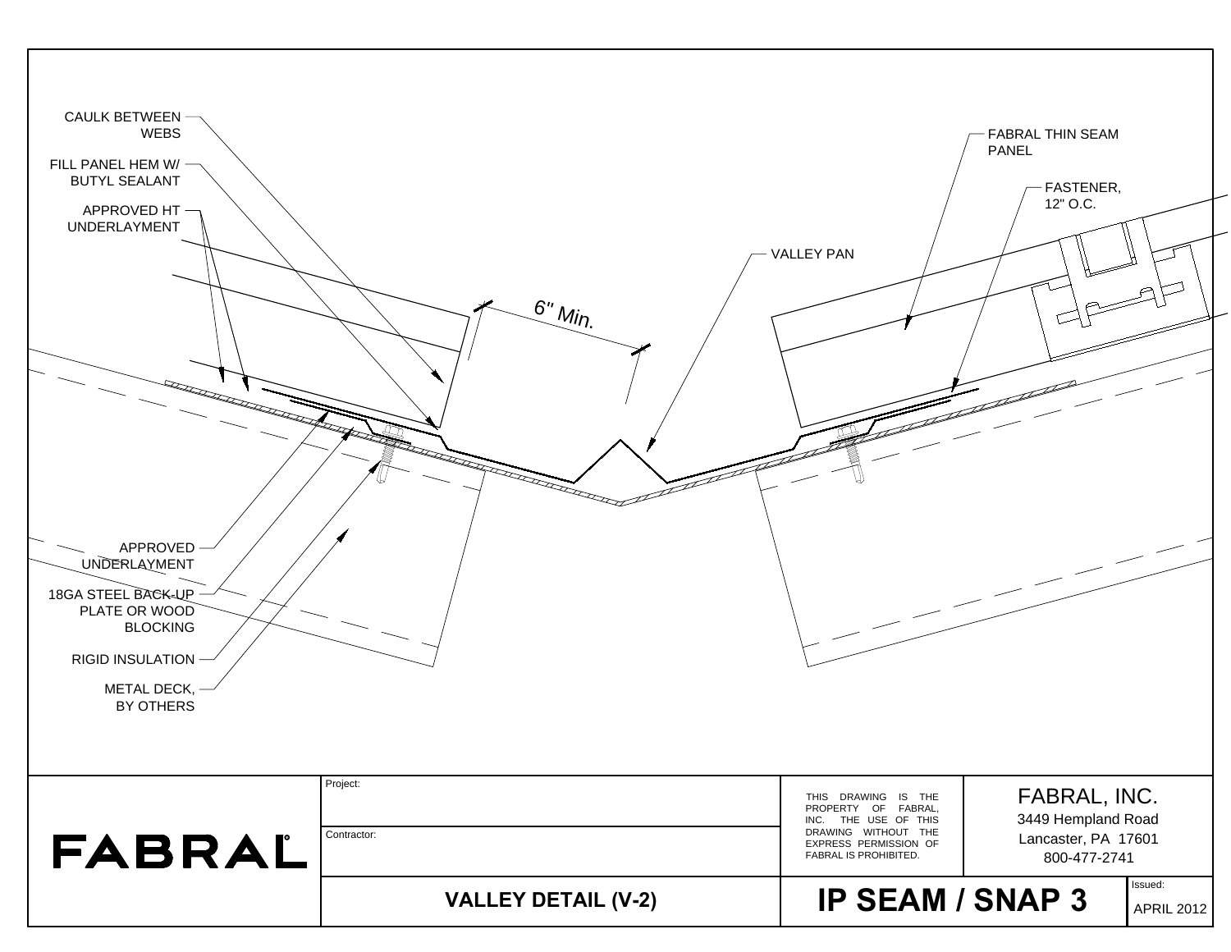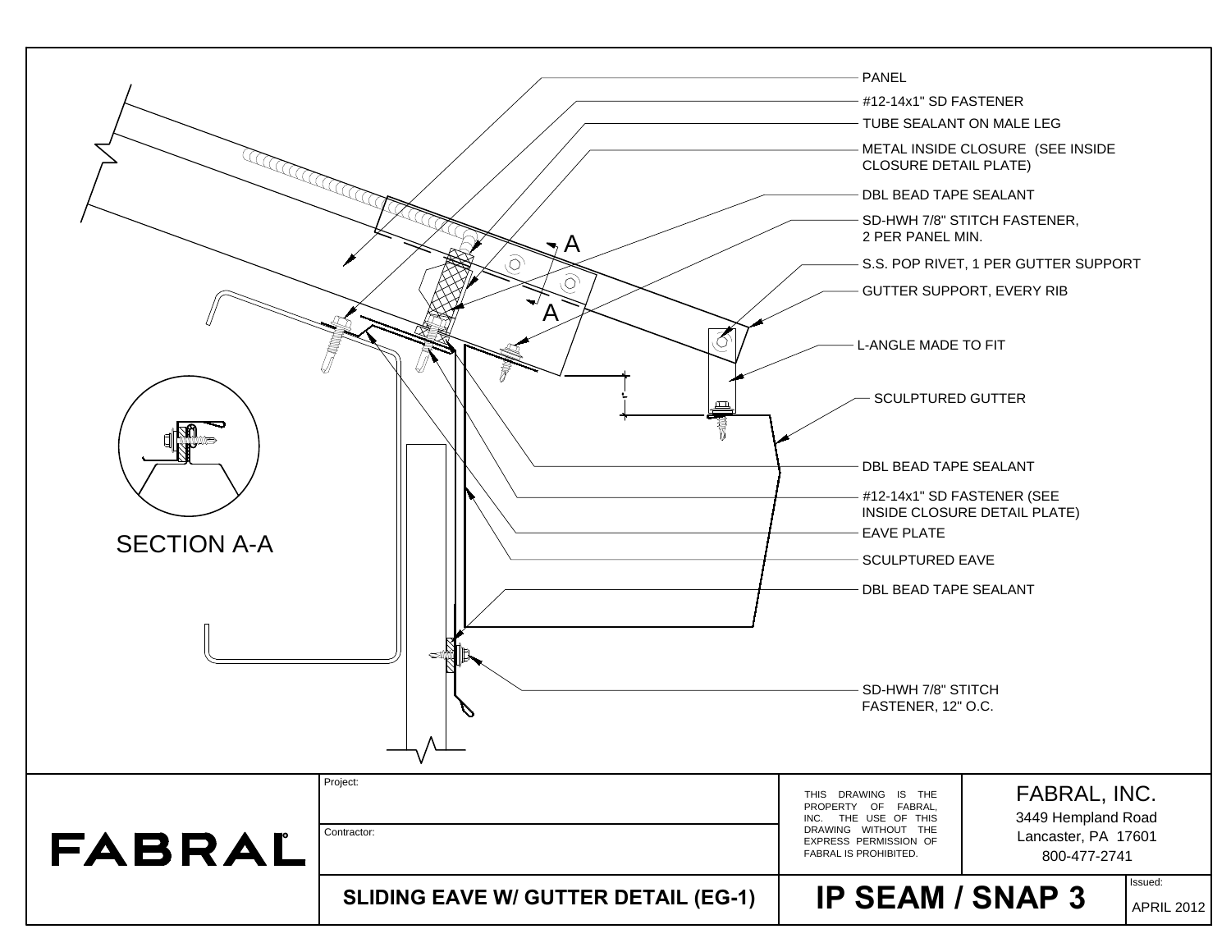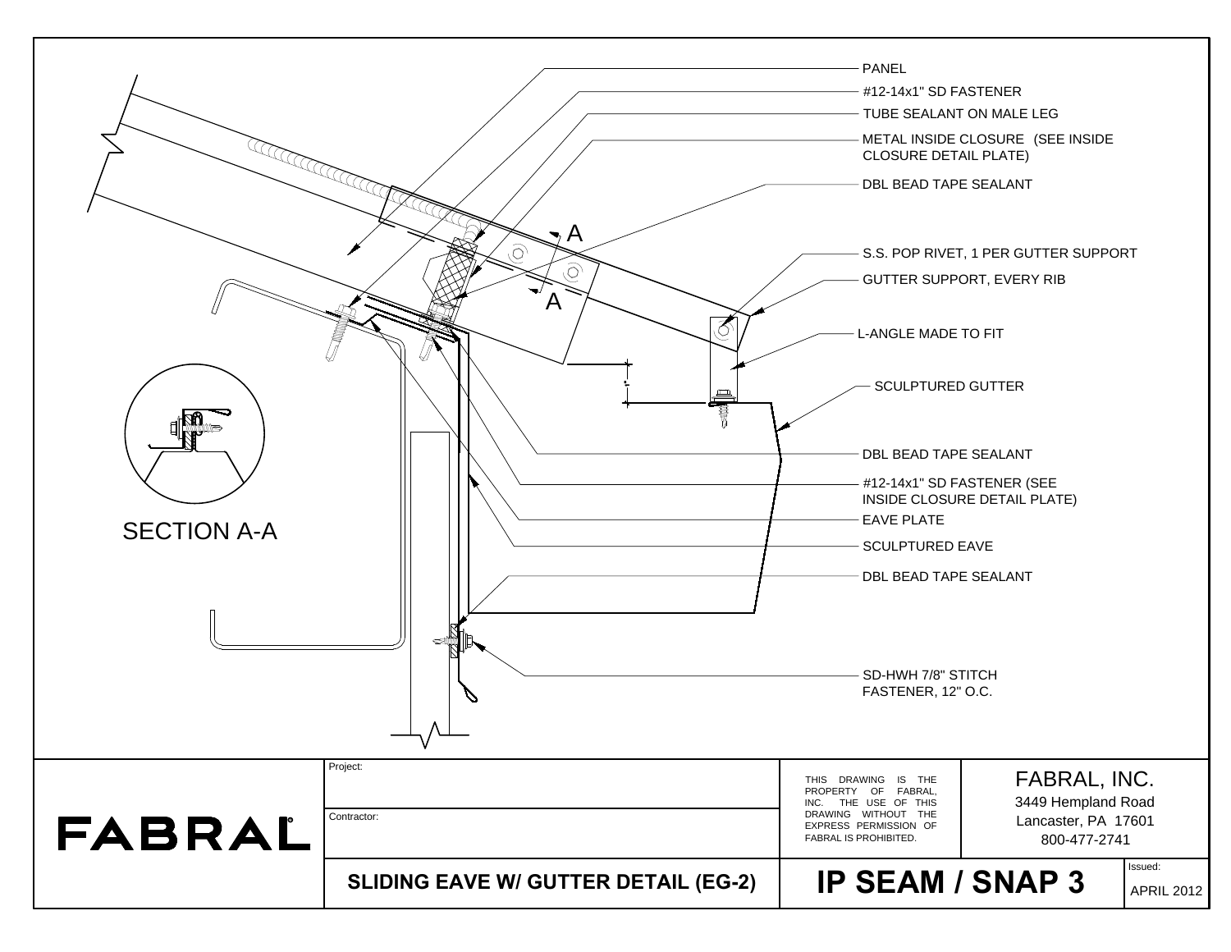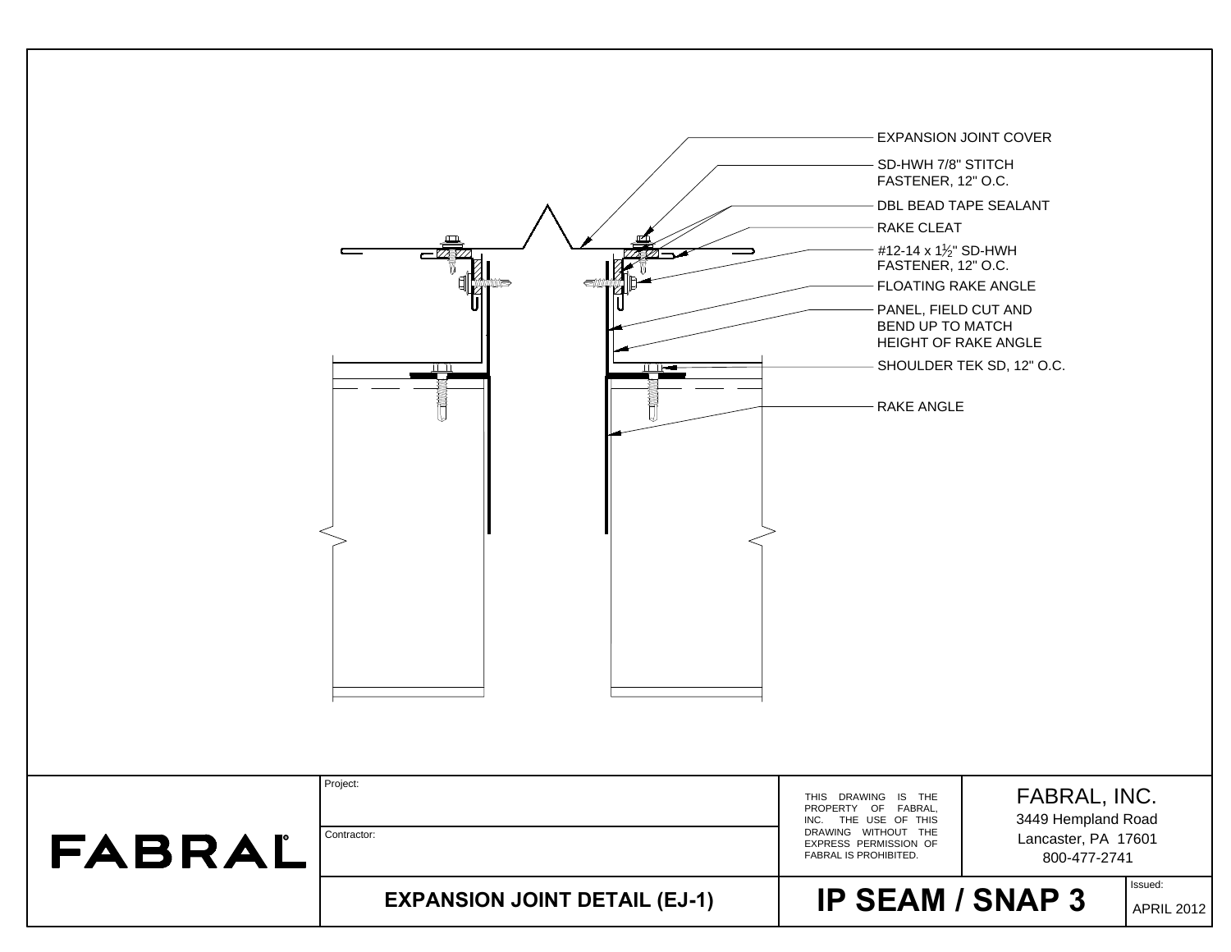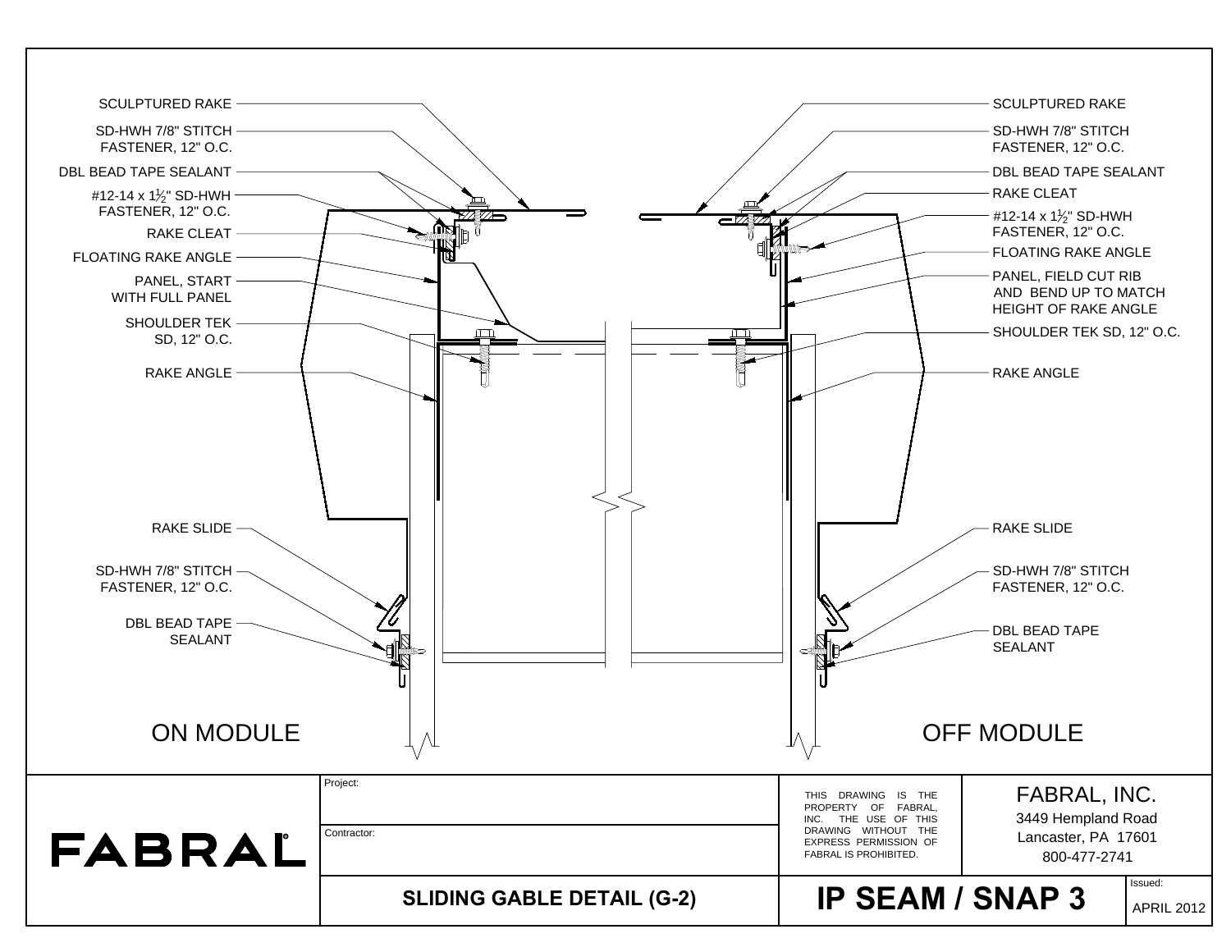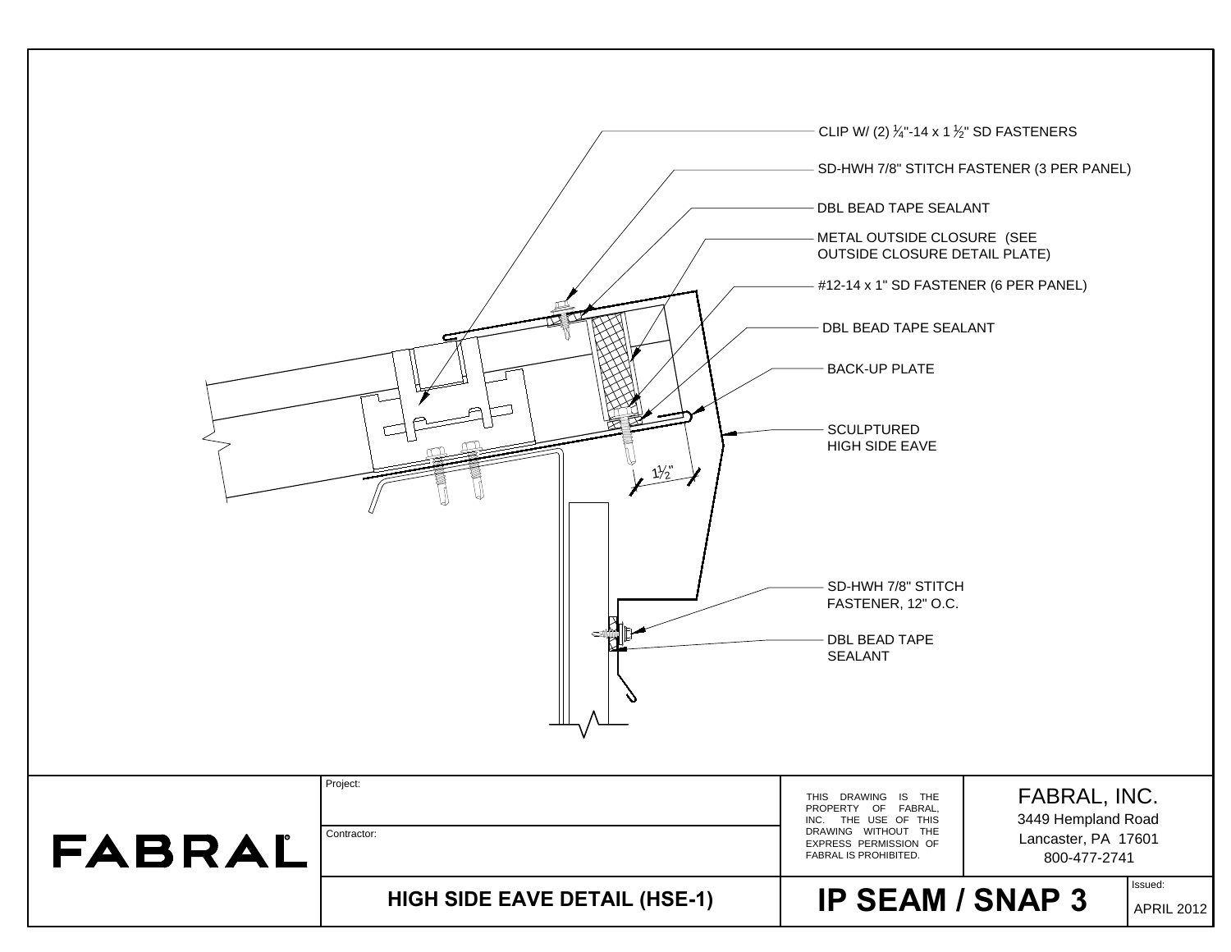|        | $\frac{1}{2}$                        | CLIP W/ (2) $\frac{1}{4}$ -14 x 1 $\frac{1}{2}$ " SD FASTENERS<br>SD-HWH 7/8" STITCH FASTENER (3 PER PANEL)<br>DBL BEAD TAPE SEALANT<br>METAL OUTSIDE CLOSURE (SEE<br>OUTSIDE CLOSURE DETAIL PLATE)<br>#12-14 x 1" SD FASTENER (6 PER PANEL)<br>DBL BEAD TAPE SEALANT<br><b>BACK-UP PLATE</b><br><b>SCULPTURED</b><br>HIGH SIDE EAVE |
|--------|--------------------------------------|--------------------------------------------------------------------------------------------------------------------------------------------------------------------------------------------------------------------------------------------------------------------------------------------------------------------------------------|
|        |                                      | SD-HWH 7/8" STITCH<br>FASTENER, 12" O.C.<br>DBL BEAD TAPE<br>SEALANT                                                                                                                                                                                                                                                                 |
| FABRAL | Project:<br>Contractor:              | FABRAL, INC.<br>THIS DRAWING IS THE<br>PROPERTY OF FABRAL,<br>3449 Hempland Road<br>INC. THE USE OF THIS<br>DRAWING WITHOUT THE<br>Lancaster, PA 17601<br>EXPRESS PERMISSION OF<br>FABRAL IS PROHIBITED.<br>800-477-2741                                                                                                             |
|        | <b>HIGH SIDE EAVE DETAIL (HSE-1)</b> | Issued:<br><b>IP SEAM / SNAP 3</b><br><b>APRIL 2012</b>                                                                                                                                                                                                                                                                              |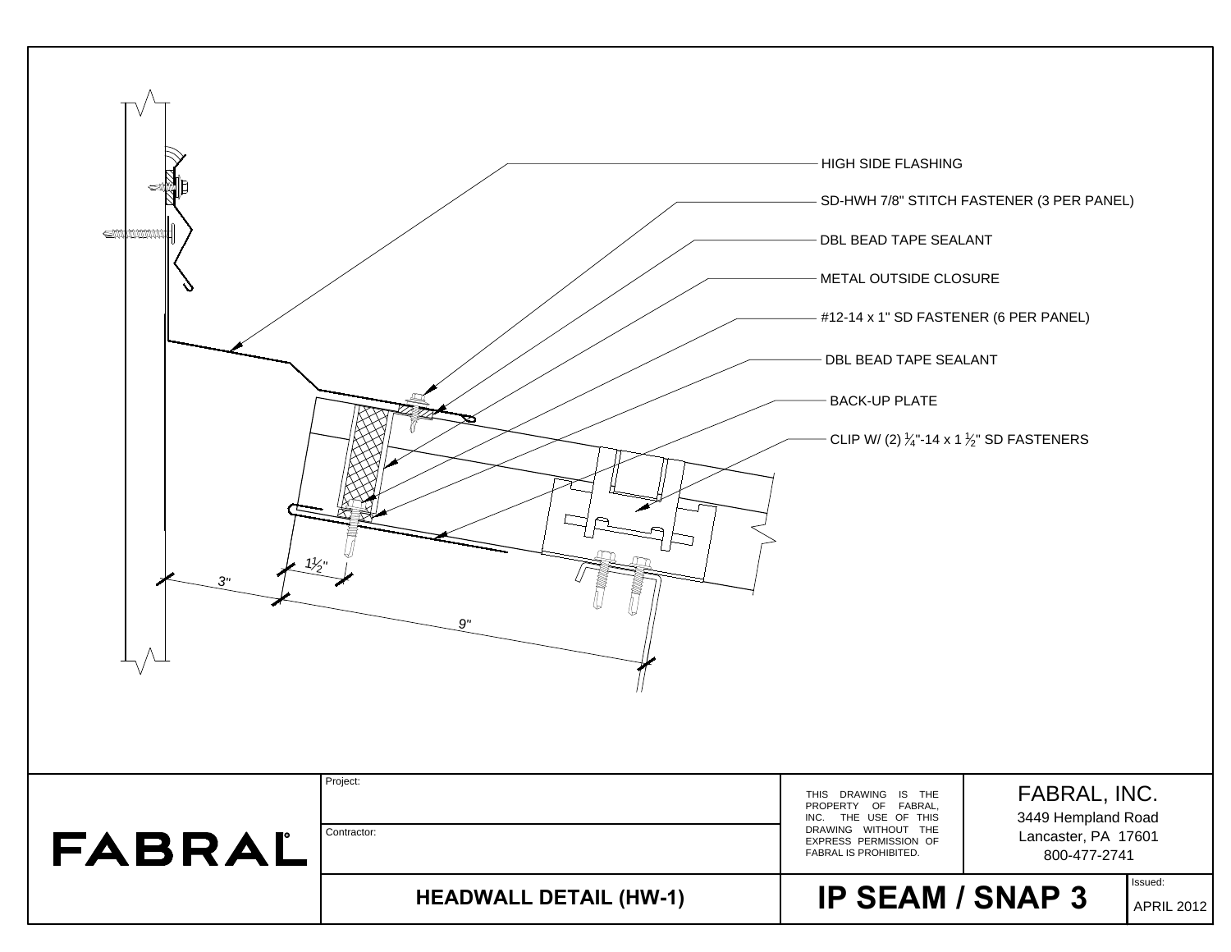| <b>SUNANAMA</b><br>$\frac{1}{2}$ "<br>3" | 9"                            | HIGH SIDE FLASHING<br>DBL BEAD TAPE SEALANT<br>METAL OUTSIDE CLOSURE<br>#12-14 x 1" SD FASTENER (6 PER PANEL)<br>DBL BEAD TAPE SEALANT<br><b>BACK-UP PLATE</b><br>CLIP W/ (2) $\frac{1}{4}$ -14 x 1 $\frac{1}{2}$ " SD FASTENERS | SD-HWH 7/8" STITCH FASTENER (3 PER PANEL)                                 |
|------------------------------------------|-------------------------------|----------------------------------------------------------------------------------------------------------------------------------------------------------------------------------------------------------------------------------|---------------------------------------------------------------------------|
| FABRAL                                   | Project:<br>Contractor:       | THIS DRAWING IS THE<br>PROPERTY OF FABRAL,<br>INC. THE USE OF THIS<br>DRAWING WITHOUT THE<br>EXPRESS PERMISSION OF<br>FABRAL IS PROHIBITED.                                                                                      | FABRAL, INC.<br>3449 Hempland Road<br>Lancaster, PA 17601<br>800-477-2741 |
|                                          | <b>HEADWALL DETAIL (HW-1)</b> | <b>IP SEAM / SNAP 3</b>                                                                                                                                                                                                          | Issued:<br><b>APRIL 2012</b>                                              |

Е